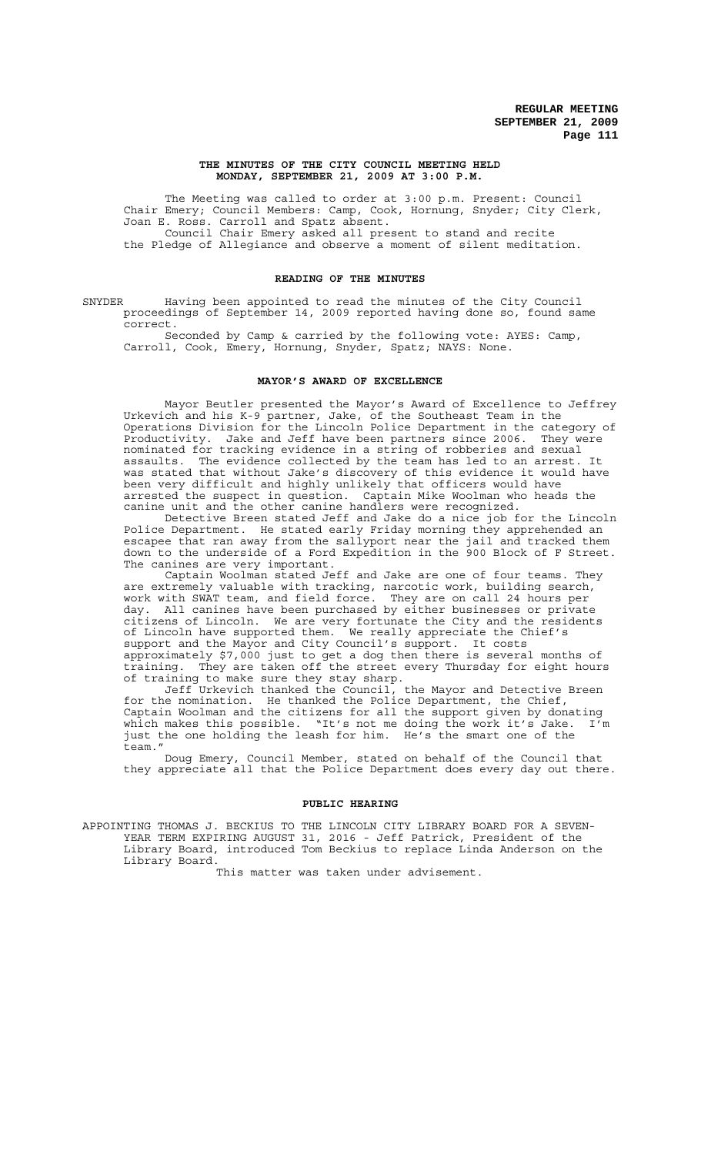#### **THE MINUTES OF THE CITY COUNCIL MEETING HELD MONDAY, SEPTEMBER 21, 2009 AT 3:00 P.M.**

The Meeting was called to order at 3:00 p.m. Present: Council Chair Emery; Council Members: Camp, Cook, Hornung, Snyder; City Clerk, Joan E. Ross. Carroll and Spatz absent. Council Chair Emery asked all present to stand and recite the Pledge of Allegiance and observe a moment of silent meditation.

## **READING OF THE MINUTES**

SNYDER Having been appointed to read the minutes of the City Council proceedings of September 14, 2009 reported having done so, found same correct.

Seconded by Camp & carried by the following vote: AYES: Camp, Carroll, Cook, Emery, Hornung, Snyder, Spatz; NAYS: None.

## **MAYOR'S AWARD OF EXCELLENCE**

Mayor Beutler presented the Mayor's Award of Excellence to Jeffrey Urkevich and his K-9 partner, Jake, of the Southeast Team in the Operations Division for the Lincoln Police Department in the category of Productivity. Jake and Jeff have been partners since 2006. They were nominated for tracking evidence in a string of robberies and sexual assaults. The evidence collected by the team has led to an arrest. was stated that without Jake's discovery of this evidence it would have been very difficult and highly unlikely that officers would have arrested the suspect in question. Captain Mike Woolman who heads the canine unit and the other canine handlers were recognized.

Detective Breen stated Jeff and Jake do a nice job for the Lincoln Police Department. He stated early Friday morning they apprehended an escapee that ran away from the sallyport near the jail and tracked them down to the underside of a Ford Expedition in the 900 Block of F Street. The canines are very important.

Captain Woolman stated Jeff and Jake are one of four teams. They are extremely valuable with tracking, narcotic work, building search, work with SWAT team, and field force. They are on call 24 hours per day. All canines have been purchased by either businesses or private citizens of Lincoln. We are very fortunate the City and the residents of Lincoln have supported them. We really appreciate the Chief's support and the Mayor and City Council's support. It costs approximately \$7,000 just to get a dog then there is several months of training. They are taken off the street every Thursday for eight hours of training to make sure they stay sharp.

Jeff Urkevich thanked the Council, the Mayor and Detective Breen for the nomination. He thanked the Police Department, the Chief, Captain Woolman and the citizens for all the support given by donating which makes this possible. "It's not me doing the work it's Jake. I'm just the one holding the leash for him. He's the smart one of the team."

Doug Emery, Council Member, stated on behalf of the Council that they appreciate all that the Police Department does every day out there.

#### **PUBLIC HEARING**

APPOINTING THOMAS J. BECKIUS TO THE LINCOLN CITY LIBRARY BOARD FOR A SEVEN-YEAR TERM EXPIRING AUGUST 31, 2016 - Jeff Patrick, President of the Library Board, introduced Tom Beckius to replace Linda Anderson on the Library Board.

This matter was taken under advisement.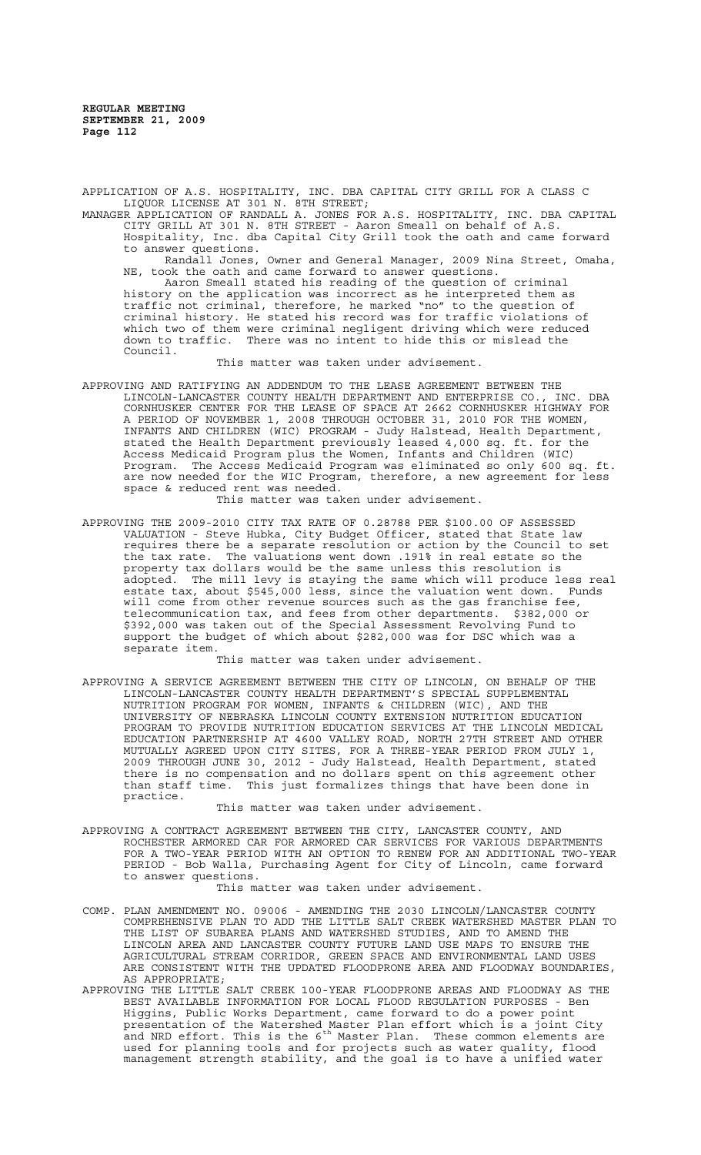APPLICATION OF A.S. HOSPITALITY, INC. DBA CAPITAL CITY GRILL FOR A CLASS C LIQUOR LICENSE AT 301 N. 8TH STREET;

MANAGER APPLICATION OF RANDALL A. JONES FOR A.S. HOSPITALITY, INC. DBA CAPITAL CITY GRILL AT 301 N. 8TH STREET - Aaron Smeall on behalf of A.S. Hospitality, Inc. dba Capital City Grill took the oath and came forward to answer questions.

Randall Jones, Owner and General Manager, 2009 Nina Street, Omaha, NE, took the oath and came forward to answer questions.

Aaron Smeall stated his reading of the question of criminal history on the application was incorrect as he interpreted them as traffic not criminal, therefore, he marked "no" to the question of criminal history. He stated his record was for traffic violations of which two of them were criminal negligent driving which were reduced down to traffic. There was no intent to hide this or mislead the Council.

This matter was taken under advisement.

APPROVING AND RATIFYING AN ADDENDUM TO THE LEASE AGREEMENT BETWEEN THE LINCOLN-LANCASTER COUNTY HEALTH DEPARTMENT AND ENTERPRISE CO., INC. DBA CORNHUSKER CENTER FOR THE LEASE OF SPACE AT 2662 CORNHUSKER HIGHWAY FOR A PERIOD OF NOVEMBER 1, 2008 THROUGH OCTOBER 31, 2010 FOR THE WOMEN, INFANTS AND CHILDREN (WIC) PROGRAM - Judy Halstead, Health Department, stated the Health Department previously leased 4,000 sq. ft. for the Access Medicaid Program plus the Women, Infants and Children (WIC) Program. The Access Medicaid Program was eliminated so only 600 sq. ft. are now needed for the WIC Program, therefore, a new agreement for space & reduced rent was needed.

This matter was taken under advisement.

APPROVING THE 2009-2010 CITY TAX RATE OF 0.28788 PER \$100.00 OF ASSESSED VALUATION - Steve Hubka, City Budget Officer, stated that State law requires there be a separate resolution or action by the Council to set the tax rate. The valuations went down .191% in real estate so the property tax dollars would be the same unless this resolution is adopted. The mill levy is staying the same which will produce less real estate tax, about \$545,000 less, since the valuation went down. Funds will come from other revenue sources such as the gas franchise fee, telecommunication tax, and fees from other departments. \$382,000 or \$392,000 was taken out of the Special Assessment Revolving Fund to support the budget of which about \$282,000 was for DSC which was a separate item.

This matter was taken under advisement.

APPROVING A SERVICE AGREEMENT BETWEEN THE CITY OF LINCOLN, ON BEHALF OF THE LINCOLN-LANCASTER COUNTY HEALTH DEPARTMENT'S SPECIAL SUPPLEMENTAL NUTRITION PROGRAM FOR WOMEN, INFANTS & CHILDREN (WIC), AND THE UNIVERSITY OF NEBRASKA LINCOLN COUNTY EXTENSION NUTRITION EDUCATION PROGRAM TO PROVIDE NUTRITION EDUCATION SERVICES AT THE LINCOLN MEDICAL EDUCATION PARTNERSHIP AT 4600 VALLEY ROAD, NORTH 27TH STREET AND OTHER MUTUALLY AGREED UPON CITY SITES, FOR A THREE-YEAR PERIOD FROM JULY 1, 2009 THROUGH JUNE 30, 2012 - Judy Halstead, Health Department, stated there is no compensation and no dollars spent on this agreement other than staff time. This just formalizes things that have been done in practice.

This matter was taken under advisement.

APPROVING A CONTRACT AGREEMENT BETWEEN THE CITY, LANCASTER COUNTY, AND ROCHESTER ARMORED CAR FOR ARMORED CAR SERVICES FOR VARIOUS DEPARTMENTS FOR A TWO-YEAR PERIOD WITH AN OPTION TO RENEW FOR AN ADDITIONAL TWO-YEAR PERIOD - Bob Walla, Purchasing Agent for City of Lincoln, came forward to answer questions.

This matter was taken under advisement.

- COMP. PLAN AMENDMENT NO. 09006 AMENDING THE 2030 LINCOLN/LANCASTER COUNTY COMPREHENSIVE PLAN TO ADD THE LITTLE SALT CREEK WATERSHED MASTER PLAN TO THE LIST OF SUBAREA PLANS AND WATERSHED STUDIES, AND TO AMEND THE LINCOLN AREA AND LANCASTER COUNTY FUTURE LAND USE MAPS TO ENSURE THE AGRICULTURAL STREAM CORRIDOR, GREEN SPACE AND ENVIRONMENTAL LAND USES ARE CONSISTENT WITH THE UPDATED FLOODPRONE AREA AND FLOODWAY BOUNDARIES, AS APPROPRIATE;
- APPROVING THE LITTLE SALT CREEK 100-YEAR FLOODPRONE AREAS AND FLOODWAY AS THE BEST AVAILABLE INFORMATION FOR LOCAL FLOOD REGULATION PURPOSES - Ben Higgins, Public Works Department, came forward to do a power point presentation of the Watershed Master Plan effort which is a joint City and NRD effort. This is the  $6^{\text{th}}$  Master Plan. These common elements are used for planning tools and for projects such as water quality, flood management strength stability, and the goal is to have a unified water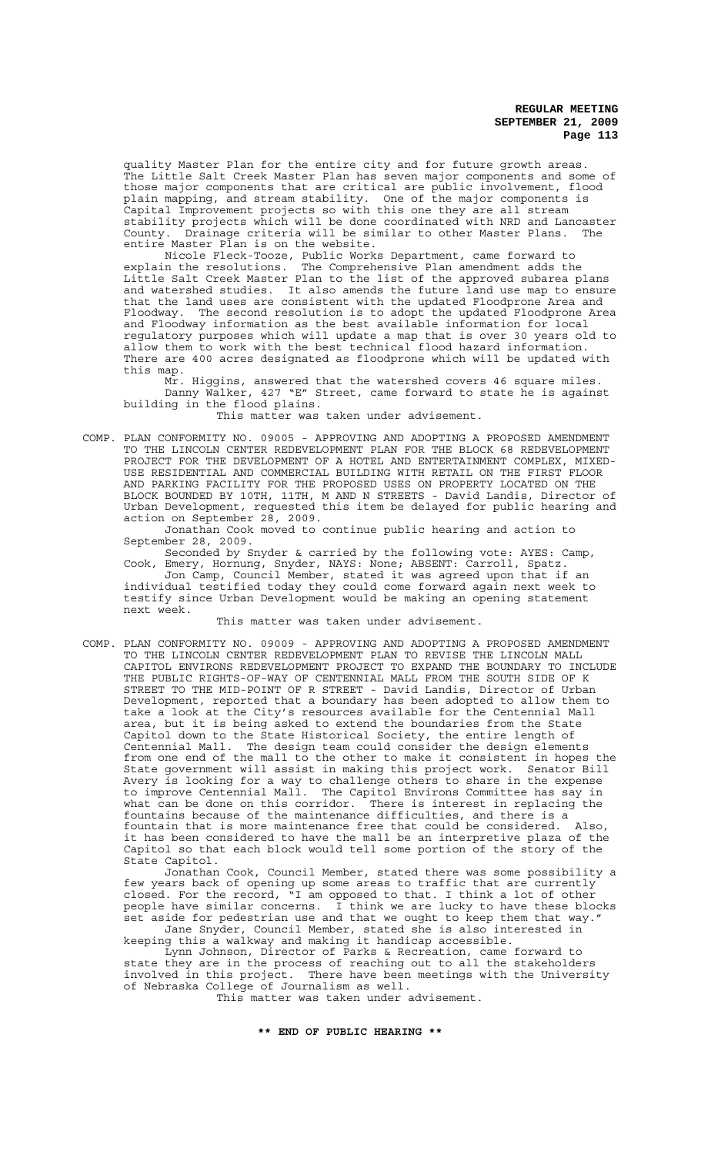quality Master Plan for the entire city and for future growth areas. The Little Salt Creek Master Plan has seven major components and some of those major components that are critical are public involvement, flood plain mapping, and stream stability. One of the major components is Capital Improvement projects so with this one they are all stream stability projects which will be done coordinated with NRD and Lancaster County. Drainage criteria will be similar to other Master Plans. The County. Drainage criteria will be si<br>entire Master Plan is on the website.

Nicole Fleck-Tooze, Public Works Department, came forward to explain the resolutions. The Comprehensive Plan amendment adds the Little Salt Creek Master Plan to the list of the approved subarea plans and watershed studies. It also amends the future land use map to ensure that the land uses are consistent with the updated Floodprone Area and Floodway. The second resolution is to adopt the updated Floodprone Area and Floodway information as the best available information for local regulatory purposes which will update a map that is over 30 years old to allow them to work with the best technical flood hazard information. There are 400 acres designated as floodprone which will be updated with this map.

Mr. Higgins, answered that the watershed covers 46 square miles. Danny Walker, 427 "E" Street, came forward to state he is against building in the flood plains.

This matter was taken under advisement.

COMP. PLAN CONFORMITY NO. 09005 - APPROVING AND ADOPTING A PROPOSED AMENDMENT TO THE LINCOLN CENTER REDEVELOPMENT PLAN FOR THE BLOCK 68 REDEVELOPMENT PROJECT FOR THE DEVELOPMENT OF A HOTEL AND ENTERTAINMENT COMPLEX, MIXED-USE RESIDENTIAL AND COMMERCIAL BUILDING WITH RETAIL ON THE FIRST FLOOR AND PARKING FACILITY FOR THE PROPOSED USES ON PROPERTY LOCATED ON THE BLOCK BOUNDED BY 10TH, 11TH, M AND N STREETS - David Landis, Director of Urban Development, requested this item be delayed for public hearing and action on September 28, 2009.

Jonathan Cook moved to continue public hearing and action to September 28, 2009.

Seconded by Snyder & carried by the following vote: AYES: Camp, Cook, Emery, Hornung, Snyder, NAYS: None; ABSENT: Carroll, Spatz. Jon Camp, Council Member, stated it was agreed upon that if an individual testified today they could come forward again next week to testify since Urban Development would be making an opening statement next week.

This matter was taken under advisement.

COMP. PLAN CONFORMITY NO. 09009 - APPROVING AND ADOPTING A PROPOSED AMENDMENT TO THE LINCOLN CENTER REDEVELOPMENT PLAN TO REVISE THE LINCOLN MALL CAPITOL ENVIRONS REDEVELOPMENT PROJECT TO EXPAND THE BOUNDARY TO INCLUDE THE PUBLIC RIGHTS-OF-WAY OF CENTENNIAL MALL FROM THE SOUTH SIDE OF K STREET TO THE MID-POINT OF R STREET - David Landis, Director of Urban Development, reported that a boundary has been adopted to allow them to take a look at the City's resources available for the Centennial Mall area, but it is being asked to extend the boundaries from the State Capitol down to the State Historical Society, the entire length of Centennial Mall. The design team could consider the design elements from one end of the mall to the other to make it consistent in hopes the State government will assist in making this project work. Senator Bill Avery is looking for a way to challenge others to share in the expense to improve Centennial Mall. The Capitol Environs Committee has say in what can be done on this corridor. There is interest in replacing the fountains because of the maintenance difficulties, and there is a fountain that is more maintenance free that could be considered. Also, it has been considered to have the mall be an interpretive plaza of the Capitol so that each block would tell some portion of the story of the State Capitol.

Jonathan Cook, Council Member, stated there was some possibility a few years back of opening up some areas to traffic that are currently closed. For the record, "I am opposed to that. I think a lot of other people have similar concerns. I think we are lucky to have these blocks set aside for pedestrian use and that we ought to keep them that way."

Jane Snyder, Council Member, stated she is also interested in keeping this a walkway and making it handicap accessible.

Lynn Johnson, Director of Parks & Recreation, came forward to state they are in the process of reaching out to all the stakeholders involved in this project. There have been meetings with the University of Nebraska College of Journalism as well.

This matter was taken under advisement.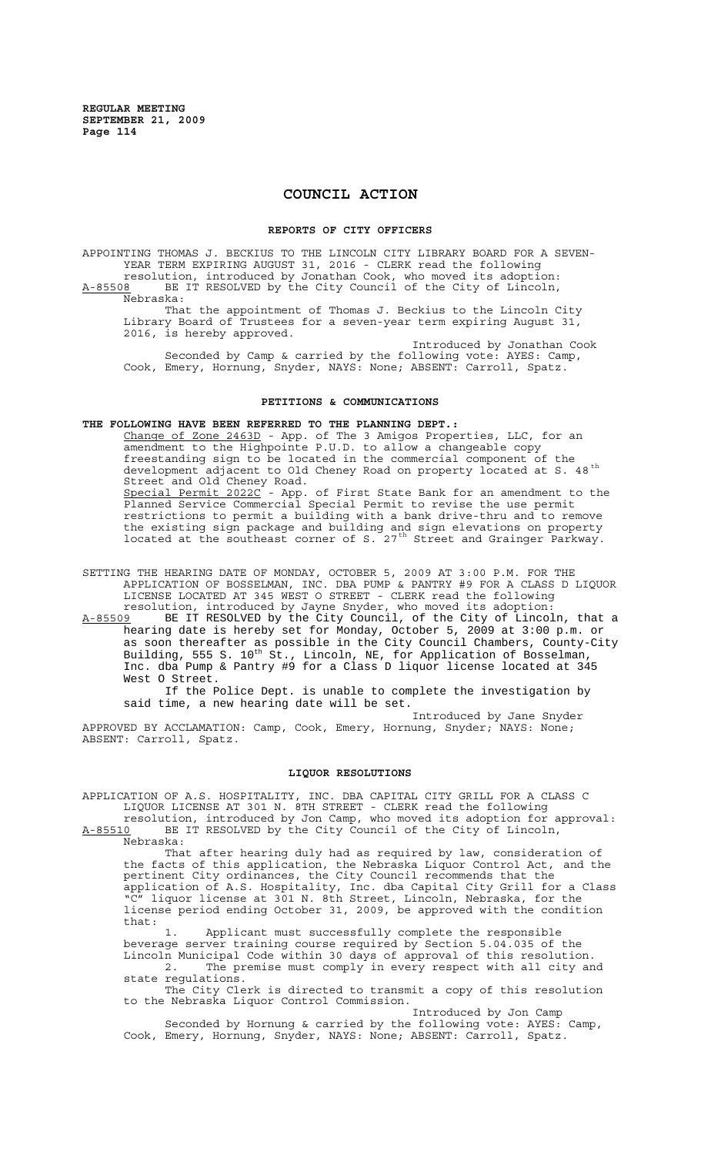# **COUNCIL ACTION**

#### **REPORTS OF CITY OFFICERS**

APPOINTING THOMAS J. BECKIUS TO THE LINCOLN CITY LIBRARY BOARD FOR A SEVEN-YEAR TERM EXPIRING AUGUST 31, 2016 - CLERK read the following resolution, introduced by Jonathan Cook, who moved its adoption: A-85508 BE IT RESOLVED by the City Council of the City of Lincoln, Nebraska:

That the appointment of Thomas J. Beckius to the Lincoln City Library Board of Trustees for a seven-year term expiring August 31, 2016, is hereby approved.

Introduced by Jonathan Cook Seconded by Camp & carried by the following vote: AYES: Camp, Cook, Emery, Hornung, Snyder, NAYS: None; ABSENT: Carroll, Spatz.

## **PETITIONS & COMMUNICATIONS**

**THE FOLLOWING HAVE BEEN REFERRED TO THE PLANNING DEPT.:**

Change of Zone 2463D - App. of The 3 Amigos Properties, LLC, for an amendment to the Highpointe P.U.D. to allow a changeable copy freestanding sign to be located in the commercial component of the development adjacent to Old Cheney Road on property located at S. 48<sup>th</sup> Street and Old Cheney Road. Special Permit 2022C - App. of First State Bank for an amendment to the Planned Service Commercial Special Permit to revise the use permit restrictions to permit a building with a bank drive-thru and to remove the existing sign package and building and sign elevations on property located at the southeast corner of S.  $27<sup>th</sup>$  Street and Grainger Parkway.

SETTING THE HEARING DATE OF MONDAY, OCTOBER 5, 2009 AT 3:00 P.M. FOR THE APPLICATION OF BOSSELMAN, INC. DBA PUMP & PANTRY #9 FOR A CLASS D LIQUOR LICENSE LOCATED AT 345 WEST O STREET - CLERK read the following resolution, introduced by Jayne Snyder, who moved its adoption:

A-85509 BE IT RESOLVED by the City Council, of the City of Lincoln, that a hearing date is hereby set for Monday, October 5, 2009 at 3:00 p.m. or as soon thereafter as possible in the City Council Chambers, County-City Building, 555 S. 10<sup>th</sup> St., Lincoln, NE, for Application of Bosselman, Inc. dba Pump & Pantry #9 for a Class D liquor license located at 345 West O Street.

If the Police Dept. is unable to complete the investigation by said time, a new hearing date will be set.

Introduced by Jane Snyder APPROVED BY ACCLAMATION: Camp, Cook, Emery, Hornung, Snyder; NAYS: None; ABSENT: Carroll, Spatz.

## **LIQUOR RESOLUTIONS**

APPLICATION OF A.S. HOSPITALITY, INC. DBA CAPITAL CITY GRILL FOR A CLASS C LIQUOR LICENSE AT 301 N. 8TH STREET - CLERK read the following resolution, introduced by Jon Camp, who moved its adoption for approval:

A-85510 BE IT RESOLVED by the City Council of the City of Lincoln, A-85510 BE

That after hearing duly had as required by law, consideration of the facts of this application, the Nebraska Liquor Control Act, and the pertinent City ordinances, the City Council recommends that the application of A.S. Hospitality, Inc. dba Capital City Grill for a Class "C" liquor license at 301 N. 8th Street, Lincoln, Nebraska, for the license period ending October 31, 2009, be approved with the condition that:

1. Applicant must successfully complete the responsible beverage server training course required by Section 5.04.035 of the Lincoln Municipal Code within 30 days of approval of this resolution. 2. The premise must comply in every respect with all city and state regulations.

The City Clerk is directed to transmit a copy of this resolution to the Nebraska Liquor Control Commission. Introduced by Jon Camp

Seconded by Hornung & carried by the following vote: AYES: Camp, Cook, Emery, Hornung, Snyder, NAYS: None; ABSENT: Carroll, Spatz.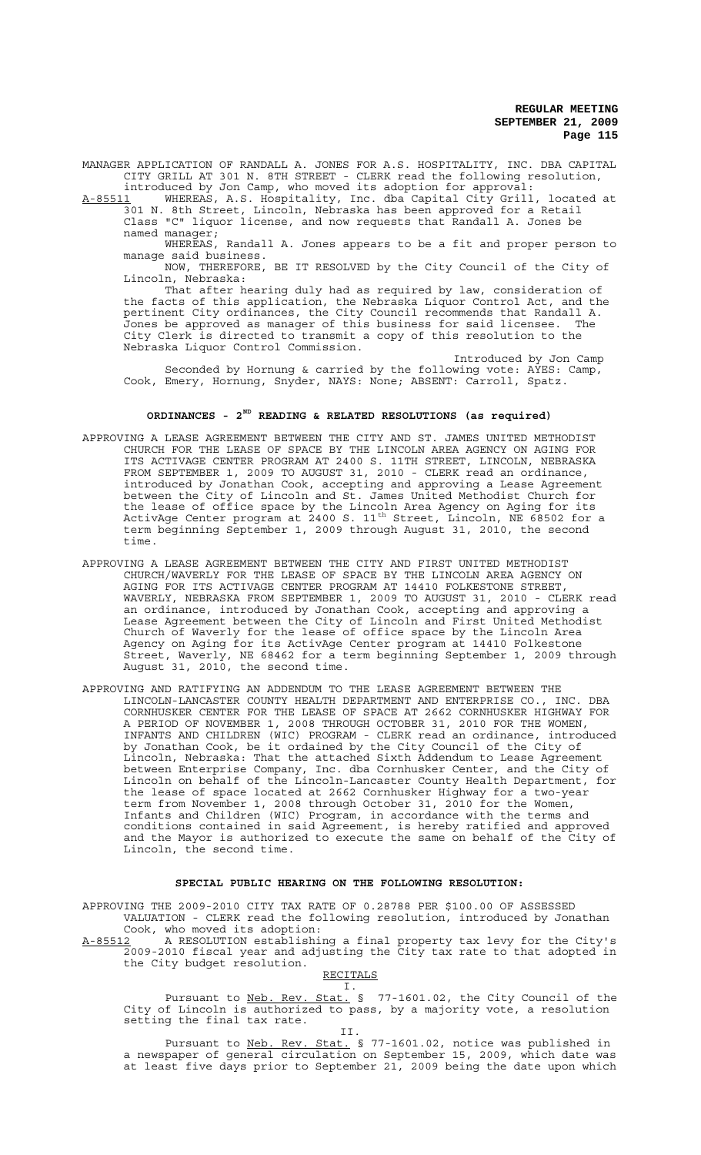MANAGER APPLICATION OF RANDALL A. JONES FOR A.S. HOSPITALITY, INC. DBA CAPITAL CITY GRILL AT 301 N. 8TH STREET - CLERK read the following resolution, introduced by Jon Camp, who moved its adoption for approval:

A-85511 MHEREAS, A.S. Hospitality, Inc. dba Capital City Grill, located at 301 N. 8th Street, Lincoln, Nebraska has been approved for a Retail Class "C" liquor license, and now requests that Randall A. Jones be named manager;

WHEREAS, Randall A. Jones appears to be a fit and proper person to manage said business.

NOW, THEREFORE, BE IT RESOLVED by the City Council of the City of Lincoln, Nebraska:

That after hearing duly had as required by law, consideration of the facts of this application, the Nebraska Liquor Control Act, and the pertinent City ordinances, the City Council recommends that Randall A. Jones be approved as manager of this business for said licensee. The City Clerk is directed to transmit a copy of this resolution to the Nebraska Liquor Control Commission.

Introduced by Jon Camp Seconded by Hornung & carried by the following vote:  $\overrightarrow{XES}$ : Camp, Cook, Emery, Hornung, Snyder, NAYS: None; ABSENT: Carroll, Spatz.

## **ORDINANCES - 2ND READING & RELATED RESOLUTIONS (as required)**

- APPROVING A LEASE AGREEMENT BETWEEN THE CITY AND ST. JAMES UNITED METHODIST CHURCH FOR THE LEASE OF SPACE BY THE LINCOLN AREA AGENCY ON AGING FOR ITS ACTIVAGE CENTER PROGRAM AT 2400 S. 11TH STREET, LINCOLN, NEBRASKA FROM SEPTEMBER 1, 2009 TO AUGUST 31, 2010 - CLERK read an ordinance, introduced by Jonathan Cook, accepting and approving a Lease Agreement between the City of Lincoln and St. James United Methodist Church for the lease of office space by the Lincoln Area Agency on Aging for its ActivAge Center program at 2400 S. 11<sup>th</sup> Street, Lincoln, NE 68502 for a term beginning September 1, 2009 through August 31, 2010, the second time.
- APPROVING A LEASE AGREEMENT BETWEEN THE CITY AND FIRST UNITED METHODIST CHURCH/WAVERLY FOR THE LEASE OF SPACE BY THE LINCOLN AREA AGENCY ON AGING FOR ITS ACTIVAGE CENTER PROGRAM AT 14410 FOLKESTONE STREET, WAVERLY, NEBRASKA FROM SEPTEMBER 1, 2009 TO AUGUST 31, 2010 - CLERK read an ordinance, introduced by Jonathan Cook, accepting and approving a Lease Agreement between the City of Lincoln and First United Methodist Church of Waverly for the lease of office space by the Lincoln Area Agency on Aging for its ActivAge Center program at 14410 Folkestone Street, Waverly, NE 68462 for a term beginning September 1, 2009 through August 31, 2010, the second time.
- APPROVING AND RATIFYING AN ADDENDUM TO THE LEASE AGREEMENT BETWEEN THE LINCOLN-LANCASTER COUNTY HEALTH DEPARTMENT AND ENTERPRISE CO., INC. DBA CORNHUSKER CENTER FOR THE LEASE OF SPACE AT 2662 CORNHUSKER HIGHWAY FOR A PERIOD OF NOVEMBER 1, 2008 THROUGH OCTOBER 31, 2010 FOR THE WOMEN, INFANTS AND CHILDREN (WIC) PROGRAM - CLERK read an ordinance, introduced by Jonathan Cook, be it ordained by the City Council of the City of Lincoln, Nebraska: That the attached Sixth Addendum to Lease Agreement between Enterprise Company, Inc. dba Cornhusker Center, and the City of Lincoln on behalf of the Lincoln-Lancaster County Health Department, for the lease of space located at 2662 Cornhusker Highway for a two-year term from November 1, 2008 through October 31, 2010 for the Women, Infants and Children (WIC) Program, in accordance with the terms and conditions contained in said Agreement, is hereby ratified and approved and the Mayor is authorized to execute the same on behalf of the City of Lincoln, the second time.

## **SPECIAL PUBLIC HEARING ON THE FOLLOWING RESOLUTION:**

APPROVING THE 2009-2010 CITY TAX RATE OF 0.28788 PER \$100.00 OF ASSESSED VALUATION - CLERK read the following resolution, introduced by Jonathan Cook, who moved its adoption:

A-85512 A RESOLUTION establishing a final property tax levy for the City's 2009-2010 fiscal year and adjusting the City tax rate to that adopted in the City budget resolution.

RECITALS

I. Pursuant to Neb. Rev. Stat. § 77-1601.02, the City Council of the City of Lincoln is authorized to pass, by a majority vote, a resolution setting the final tax rate.

II. Pursuant to Neb. Rev. Stat. § 77-1601.02, notice was published in a newspaper of general circulation on September 15, 2009, which date was at least five days prior to September 21, 2009 being the date upon which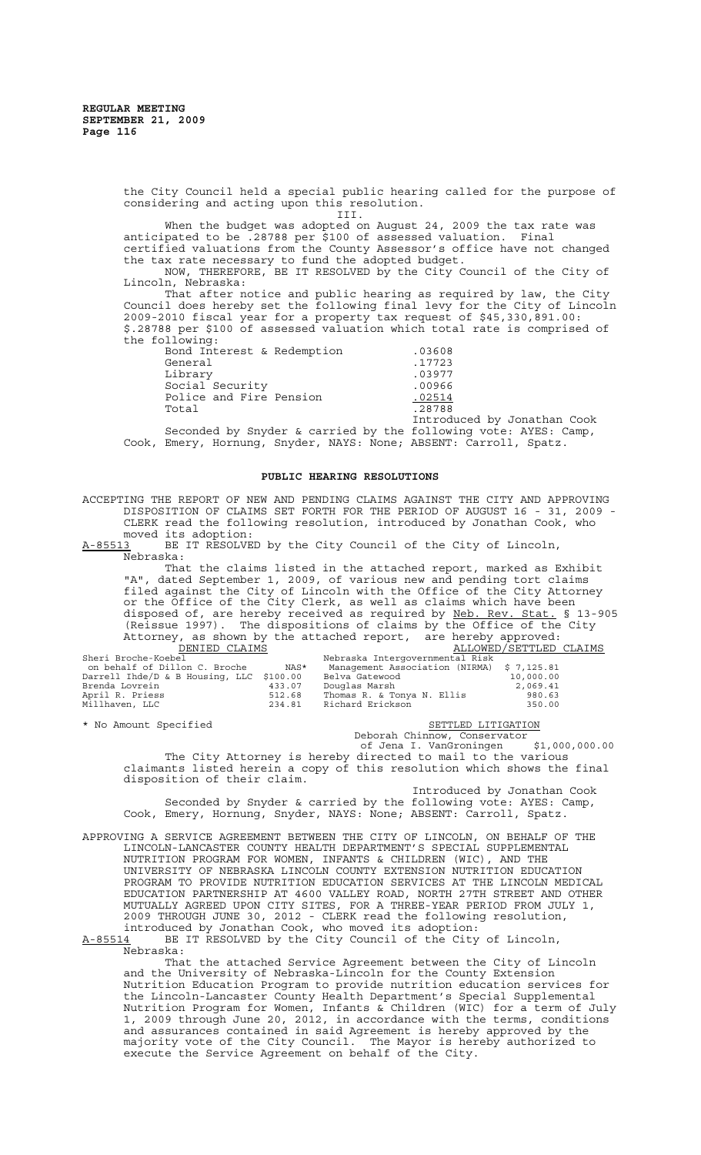the City Council held a special public hearing called for the purpose of considering and acting upon this resolution.

III.

When the budget was adopted on August 24, 2009 the tax rate was anticipated to be .28788 per \$100 of assessed valuation. Final certified valuations from the County Assessor's office have not changed the tax rate necessary to fund the adopted budget.

NOW, THEREFORE, BE IT RESOLVED by the City Council of the City of Lincoln, Nebraska:

That after notice and public hearing as required by law, the City Council does hereby set the following final levy for the City of Lincoln 2009-2010 fiscal year for a property tax request of \$45,330,891.00: \$.28788 per \$100 of assessed valuation which total rate is comprised of the following:

Bond Interest & Redemption .03608 General Library Social Security .00966 Police and Fire Pension .02514  $Total$  .28788

|  | .                                |
|--|----------------------------------|
|  | .03977                           |
|  | .00966                           |
|  | .02514                           |
|  | .28788                           |
|  | Introduced by Jonathar           |
|  | dod by the following yote: AVEC. |

n Cook.<br>Camp, Seconded by Snyder & carried by the following vote: AYES: Camp, Cook, Emery, Hornung, Snyder, NAYS: None; ABSENT: Carroll, Spatz.

## **PUBLIC HEARING RESOLUTIONS**

ACCEPTING THE REPORT OF NEW AND PENDING CLAIMS AGAINST THE CITY AND APPROVING DISPOSITION OF CLAIMS SET FORTH FOR THE PERIOD OF AUGUST 16 - 31, 2009 - CLERK read the following resolution, introduced by Jonathan Cook, who

moved its adoption:<br>A-85513 BE IT RESOLVE BE IT RESOLVED by the City Council of the City of Lincoln, Nebraska:

That the claims listed in the attached report, marked as Exhibit "A", dated September 1, 2009, of various new and pending tort claims filed against the City of Lincoln with the Office of the City Attorney or the Office of the City Clerk, as well as claims which have been disposed of, are hereby received as required by Neb. Rev. Stat. § 13-905 (Reissue 1997). The dispositions of claims by the Office of the City Attorney, as shown by the attached report, are hereby approved: DENIED CLAIMS **ALLOWED**/SETTLED CLAIMS

| Sheri Broche-Koebel                      |        | Nebraska Intergovernmental Risk            |           |
|------------------------------------------|--------|--------------------------------------------|-----------|
| on behalf of Dillon C. Broche            | NAS*   | Management Association (NIRMA) \$ 7,125.81 |           |
| Darrell Ihde/D & B Housing, LLC \$100.00 |        | Belva Gatewood                             | 10,000.00 |
| Brenda Lovrein                           | 433.07 | Douglas Marsh                              | 2,069.41  |
| April R. Priess                          | 512.68 | Thomas R. & Tonya N. Ellis                 | 980.63    |
| Millhaven, LLC                           | 234.81 | Richard Erickson                           | 350.00    |
|                                          |        |                                            |           |

\* No Amount Specified Settle Settle SETTLED LITIGATION

Deborah Chinnow, Conservator

 of Jena I. VanGroningen \$1,000,000.00 The City Attorney is hereby directed to mail to the various claimants listed herein a copy of this resolution which shows the final

disposition of their claim. Introduced by Jonathan Cook Seconded by Snyder & carried by the following vote: AYES: Camp,

Cook, Emery, Hornung, Snyder, NAYS: None; ABSENT: Carroll, Spatz.

APPROVING A SERVICE AGREEMENT BETWEEN THE CITY OF LINCOLN, ON BEHALF OF THE LINCOLN-LANCASTER COUNTY HEALTH DEPARTMENT'S SPECIAL SUPPLEMENTAL NUTRITION PROGRAM FOR WOMEN, INFANTS & CHILDREN (WIC), AND THE UNIVERSITY OF NEBRASKA LINCOLN COUNTY EXTENSION NUTRITION EDUCATION PROGRAM TO PROVIDE NUTRITION EDUCATION SERVICES AT THE LINCOLN MEDICAL EDUCATION PARTNERSHIP AT 4600 VALLEY ROAD, NORTH 27TH STREET AND OTHER MUTUALLY AGREED UPON CITY SITES, FOR A THREE-YEAR PERIOD FROM JULY 1, 2009 THROUGH JUNE 30, 2012 - CLERK read the following resolution, introduced by Jonathan Cook, who moved its adoption:

A-85514 BE IT RESOLVED by the City Council of the City of Lincoln, Nebraska:

That the attached Service Agreement between the City of Lincoln and the University of Nebraska-Lincoln for the County Extension Nutrition Education Program to provide nutrition education services for the Lincoln-Lancaster County Health Department's Special Supplemental Nutrition Program for Women, Infants & Children (WIC) for a term of July 1, 2009 through June 20, 2012, in accordance with the terms, conditions and assurances contained in said Agreement is hereby approved by the majority vote of the City Council. The Mayor is hereby authorized to execute the Service Agreement on behalf of the City.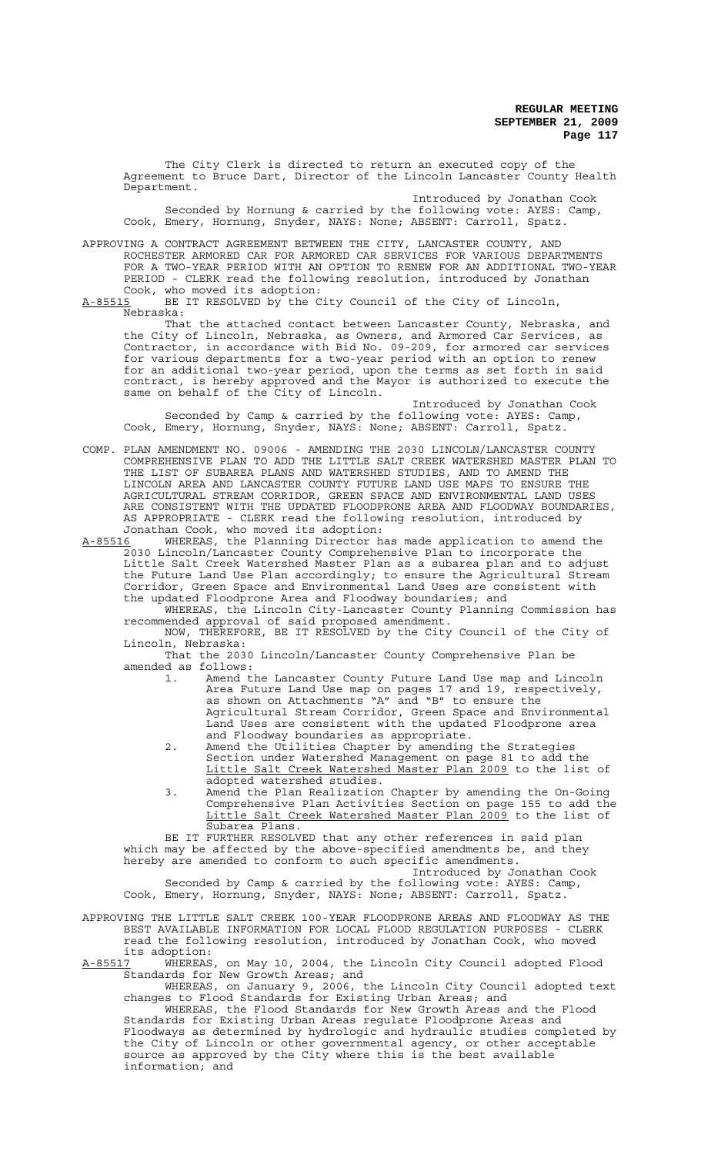The City Clerk is directed to return an executed copy of the Agreement to Bruce Dart, Director of the Lincoln Lancaster County Health Department. Introduced by Jonathan Cook

Seconded by Hornung & carried by the following vote: AYES: Camp, Cook, Emery, Hornung, Snyder, NAYS: None; ABSENT: Carroll, Spatz.

APPROVING A CONTRACT AGREEMENT BETWEEN THE CITY, LANCASTER COUNTY, AND ROCHESTER ARMORED CAR FOR ARMORED CAR SERVICES FOR VARIOUS DEPARTMENTS FOR A TWO-YEAR PERIOD WITH AN OPTION TO RENEW FOR AN ADDITIONAL TWO-YEAR PERIOD - CLERK read the following resolution, introduced by Jonathan Cook, who moved its adoption:<br>A-85515 BE IT RESOLVED by the C

BE IT RESOLVED by the City Council of the City of Lincoln, Nebraska:

That the attached contact between Lancaster County, Nebraska, and the City of Lincoln, Nebraska, as Owners, and Armored Car Services, as Contractor, in accordance with Bid No. 09-209, for armored car services for various departments for a two-year period with an option to renew for an additional two-year period, upon the terms as set forth in said contract, is hereby approved and the Mayor is authorized to execute the same on behalf of the City of Lincoln.

Introduced by Jonathan Cook Seconded by Camp & carried by the following vote: AYES: Camp, Cook, Emery, Hornung, Snyder, NAYS: None; ABSENT: Carroll, Spatz.

COMP. PLAN AMENDMENT NO. 09006 - AMENDING THE 2030 LINCOLN/LANCASTER COUNTY COMPREHENSIVE PLAN TO ADD THE LITTLE SALT CREEK WATERSHED MASTER PLAN TO THE LIST OF SUBAREA PLANS AND WATERSHED STUDIES, AND TO AMEND THE LINCOLN AREA AND LANCASTER COUNTY FUTURE LAND USE MAPS TO ENSURE THE AGRICULTURAL STREAM CORRIDOR, GREEN SPACE AND ENVIRONMENTAL LAND USES ARE CONSISTENT WITH THE UPDATED FLOODPRONE AREA AND FLOODWAY BOUNDARIES, AS APPROPRIATE - CLERK read the following resolution, introduced by

Jonathan Cook, who moved its adoption:<br>A-85516 WHEREAS, the Planning Director h WHEREAS, the Planning Director has made application to amend the 2030 Lincoln/Lancaster County Comprehensive Plan to incorporate the Little Salt Creek Watershed Master Plan as a subarea plan and to adjust the Future Land Use Plan accordingly; to ensure the Agricultural Stream Corridor, Green Space and Environmental Land Uses are consistent with the updated Floodprone Area and Floodway boundaries; and

WHEREAS, the Lincoln City-Lancaster County Planning Commission has recommended approval of said proposed amendment.

NOW, THEREFORE, BE IT RESOLVED by the City Council of the City of Lincoln, Nebraska:

That the 2030 Lincoln/Lancaster County Comprehensive Plan be amended as follows:

- 1. Amend the Lancaster County Future Land Use map and Lincoln Area Future Land Use map on pages 17 and 19, respectively, as shown on Attachments "A" and "B" to ensure the Agricultural Stream Corridor, Green Space and Environmental Land Uses are consistent with the updated Floodprone area and Floodway boundaries as appropriate.
- 2. Amend the Utilities Chapter by amending the Strategies Section under Watershed Management on page 81 to add the Little Salt Creek Watershed Master Plan 2009 to the list of adopted watershed studies.
- 3. Amend the Plan Realization Chapter by amending the On-Going Comprehensive Plan Activities Section on page 155 to add the Little Salt Creek Watershed Master Plan 2009 to the list of Subarea Plans.

BE IT FURTHER RESOLVED that any other references in said plan which may be affected by the above-specified amendments be, and they hereby are amended to conform to such specific amendments.

Introduced by Jonathan Cook Seconded by Camp & carried by the following vote: AYES: Camp, Cook, Emery, Hornung, Snyder, NAYS: None; ABSENT: Carroll, Spatz.

APPROVING THE LITTLE SALT CREEK 100-YEAR FLOODPRONE AREAS AND FLOODWAY AS THE BEST AVAILABLE INFORMATION FOR LOCAL FLOOD REGULATION PURPOSES - CLERK read the following resolution, introduced by Jonathan Cook, who moved its adoption:<br>A-85517 WHEREAS

A-85517 WHEREAS, on May 10, 2004, the Lincoln City Council adopted Flood Standards for New Growth Areas; and

WHEREAS, on January 9, 2006, the Lincoln City Council adopted text changes to Flood Standards for Existing Urban Areas; and

WHEREAS, the Flood Standards for New Growth Areas and the Flood Standards for Existing Urban Areas regulate Floodprone Areas and Floodways as determined by hydrologic and hydraulic studies completed by the City of Lincoln or other governmental agency, or other acceptable source as approved by the City where this is the best available information; and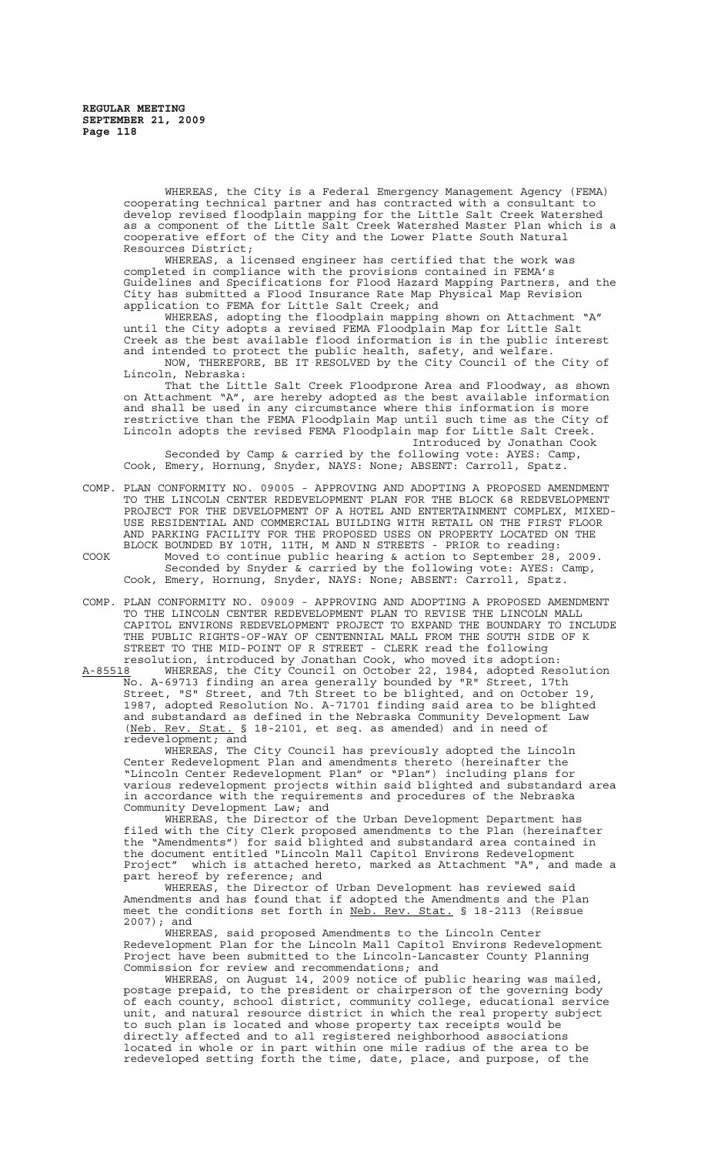WHEREAS, the City is a Federal Emergency Management Agency (FEMA) cooperating technical partner and has contracted with a consultant to develop revised floodplain mapping for the Little Salt Creek Watershed as a component of the Little Salt Creek Watershed Master Plan which is a cooperative effort of the City and the Lower Platte South Natural Resources District;

WHEREAS, a licensed engineer has certified that the work was completed in compliance with the provisions contained in FEMA's Guidelines and Specifications for Flood Hazard Mapping Partners, and the City has submitted a Flood Insurance Rate Map Physical Map Revision application to FEMA for Little Salt Creek; and

WHEREAS, adopting the floodplain mapping shown on Attachment "A" until the City adopts a revised FEMA Floodplain Map for Little Salt Creek as the best available flood information is in the public interest and intended to protect the public health, safety, and welfare. NOW, THEREFORE, BE IT RESOLVED by the City Council of the City of

Lincoln, Nebraska: That the Little Salt Creek Floodprone Area and Floodway, as shown on Attachment "A", are hereby adopted as the best available information and shall be used in any circumstance where this information is more restrictive than the FEMA Floodplain Map until such time as the City of Lincoln adopts the revised FEMA Floodplain map for Little Salt Creek. Introduced by Jonathan Cook

Seconded by Camp & carried by the following vote: AYES: Camp, Cook, Emery, Hornung, Snyder, NAYS: None; ABSENT: Carroll, Spatz.

- COMP. PLAN CONFORMITY NO. 09005 APPROVING AND ADOPTING A PROPOSED AMENDMENT TO THE LINCOLN CENTER REDEVELOPMENT PLAN FOR THE BLOCK 68 REDEVELOPMENT PROJECT FOR THE DEVELOPMENT OF A HOTEL AND ENTERTAINMENT COMPLEX, MIXED-USE RESIDENTIAL AND COMMERCIAL BUILDING WITH RETAIL ON THE FIRST FLOOR AND PARKING FACILITY FOR THE PROPOSED USES ON PROPERTY LOCATED ON THE BLOCK BOUNDED BY 10TH, 11TH, M AND N STREETS - PRIOR to reading: COOK Moved to continue public hearing & action to September 28, 2009. Seconded by Snyder & carried by the following vote: AYES: Camp, Cook, Emery, Hornung, Snyder, NAYS: None; ABSENT: Carroll, Spatz.
- COMP. PLAN CONFORMITY NO. 09009 APPROVING AND ADOPTING A PROPOSED AMENDMENT TO THE LINCOLN CENTER REDEVELOPMENT PLAN TO REVISE THE LINCOLN MALL CAPITOL ENVIRONS REDEVELOPMENT PROJECT TO EXPAND THE BOUNDARY TO INCLUDE THE PUBLIC RIGHTS-OF-WAY OF CENTENNIAL MALL FROM THE SOUTH SIDE OF K STREET TO THE MID-POINT OF R STREET - CLERK read the following resolution, introduced by Jonathan Cook, who moved its adoption:

A-85518 WHEREAS, the City Council on October 22, 1984, adopted Resolution No. A-69713 finding an area generally bounded by "R" Street, 17th Street, "S" Street, and 7th Street to be blighted, and on October 19, 1987, adopted Resolution No. A-71701 finding said area to be blighted and substandard as defined in the Nebraska Community Development Law (Neb. Rev. Stat. § 18-2101, et seq. as amended) and in need of redevelopment; and

WHEREAS, The City Council has previously adopted the Lincoln Center Redevelopment Plan and amendments thereto (hereinafter the "Lincoln Center Redevelopment Plan" or "Plan") including plans for various redevelopment projects within said blighted and substandard area in accordance with the requirements and procedures of the Nebraska Community Development Law; and

WHEREAS, the Director of the Urban Development Department has filed with the City Clerk proposed amendments to the Plan (hereinafter the "Amendments") for said blighted and substandard area contained in the document entitled "Lincoln Mall Capitol Environs Redevelopment Project" which is attached hereto, marked as Attachment "A", and made a part hereof by reference; and<br>WHEREAS, the Director of

the Director of Urban Development has reviewed said Amendments and has found that if adopted the Amendments and the Plan meet the conditions set forth in Neb. Rev. Stat. § 18-2113 (Reissue 2007); and

WHEREAS, said proposed Amendments to the Lincoln Center Redevelopment Plan for the Lincoln Mall Capitol Environs Redevelopment Project have been submitted to the Lincoln-Lancaster County Planning Commission for review and recommendations; and

WHEREAS, on August 14, 2009 notice of public hearing was mailed, postage prepaid, to the president or chairperson of the governing body of each county, school district, community college, educational service unit, and natural resource district in which the real property subject to such plan is located and whose property tax receipts would be directly affected and to all registered neighborhood associations located in whole or in part within one mile radius of the area to be redeveloped setting forth the time, date, place, and purpose, of the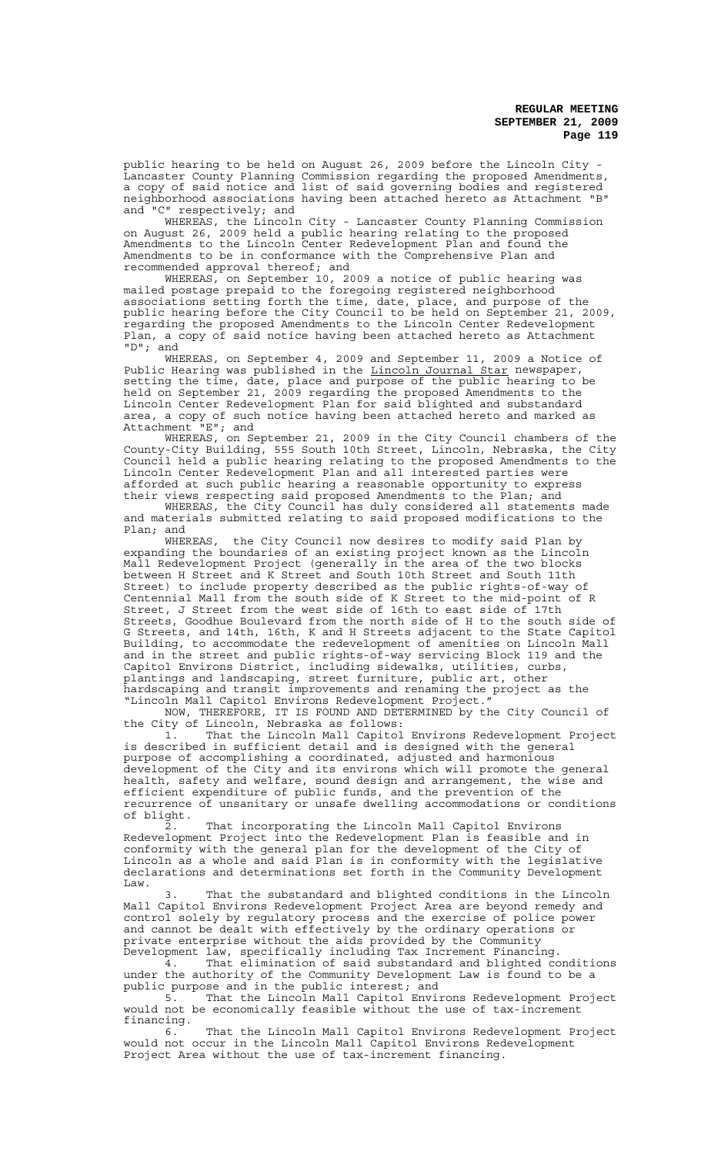public hearing to be held on August 26, 2009 before the Lincoln City - Lancaster County Planning Commission regarding the proposed Amendments, a copy of said notice and list of said governing bodies and registered neighborhood associations having been attached hereto as Attachment "B" and "C" respectively; and

WHEREAS, the Lincoln City - Lancaster County Planning Commission on August 26, 2009 held a public hearing relating to the proposed Amendments to the Lincoln Center Redevelopment Plan and found the Amendments to be in conformance with the Comprehensive Plan and recommended approval thereof; and

WHEREAS, on September 10, 2009 a notice of public hearing was mailed postage prepaid to the foregoing registered neighborhood associations setting forth the time, date, place, and purpose of the public hearing before the City Council to be held on September 21, 2009, regarding the proposed Amendments to the Lincoln Center Redevelopment Plan, a copy of said notice having been attached hereto as Attachment "D"; and

WHEREAS, on September 4, 2009 and September 11, 2009 a Notice of Public Hearing was published in the Lincoln Journal Star newspaper, setting the time, date, place and purpose of the public hearing to be held on September 21, 2009 regarding the proposed Amendments to the Lincoln Center Redevelopment Plan for said blighted and substandard area, a copy of such notice having been attached hereto and marked as Attachment "E"; and

WHEREAS, on September 21, 2009 in the City Council chambers of the County-City Building, 555 South 10th Street, Lincoln, Nebraska, the City Council held a public hearing relating to the proposed Amendments to the Lincoln Center Redevelopment Plan and all interested parties were afforded at such public hearing a reasonable opportunity to express their views respecting said proposed Amendments to the Plan; and

WHEREAS, the City Council has duly considered all statements made and materials submitted relating to said proposed modifications to the Plan; and

WHEREAS, the City Council now desires to modify said Plan by expanding the boundaries of an existing project known as the Lincoln Mall Redevelopment Project (generally in the area of the two blocks between H Street and K Street and South 10th Street and South 11th Street) to include property described as the public rights-of-way of Centennial Mall from the south side of K Street to the mid-point of R Street, J Street from the west side of 16th to east side of 17th Streets, Goodhue Boulevard from the north side of H to the south side of G Streets, and 14th, 16th, K and H Streets adjacent to the State Capitol Building, to accommodate the redevelopment of amenities on Lincoln Mall and in the street and public rights-of-way servicing Block 119 and the Capitol Environs District, including sidewalks, utilities, curbs, plantings and landscaping, street furniture, public art, other hardscaping and transit improvements and renaming the project as the "Lincoln Mall Capitol Environs Redevelopment Project."

NOW, THEREFORE, IT IS FOUND AND DETERMINED by the City Council of the City of Lincoln, Nebraska as follows:

1. That the Lincoln Mall Capitol Environs Redevelopment Project is described in sufficient detail and is designed with the general purpose of accomplishing a coordinated, adjusted and harmonious development of the City and its environs which will promote the general health, safety and welfare, sound design and arrangement, the wise and efficient expenditure of public funds, and the prevention of the recurrence of unsanitary or unsafe dwelling accommodations or conditions of blight.

2. That incorporating the Lincoln Mall Capitol Environs Redevelopment Project into the Redevelopment Plan is feasible and in conformity with the general plan for the development of the City of Lincoln as a whole and said Plan is in conformity with the legislative declarations and determinations set forth in the Community Development Law.

3. That the substandard and blighted conditions in the Lincoln Mall Capitol Environs Redevelopment Project Area are beyond remedy and control solely by regulatory process and the exercise of police power and cannot be dealt with effectively by the ordinary operations or private enterprise without the aids provided by the Community Development law, specifically including Tax Increment Financing.

4. That elimination of said substandard and blighted conditions under the authority of the Community Development Law is found to be a public purpose and in the public interest; and

5. That the Lincoln Mall Capitol Environs Redevelopment Project would not be economically feasible without the use of tax-increment financing.

6. That the Lincoln Mall Capitol Environs Redevelopment Project would not occur in the Lincoln Mall Capitol Environs Redevelopment Project Area without the use of tax-increment financing.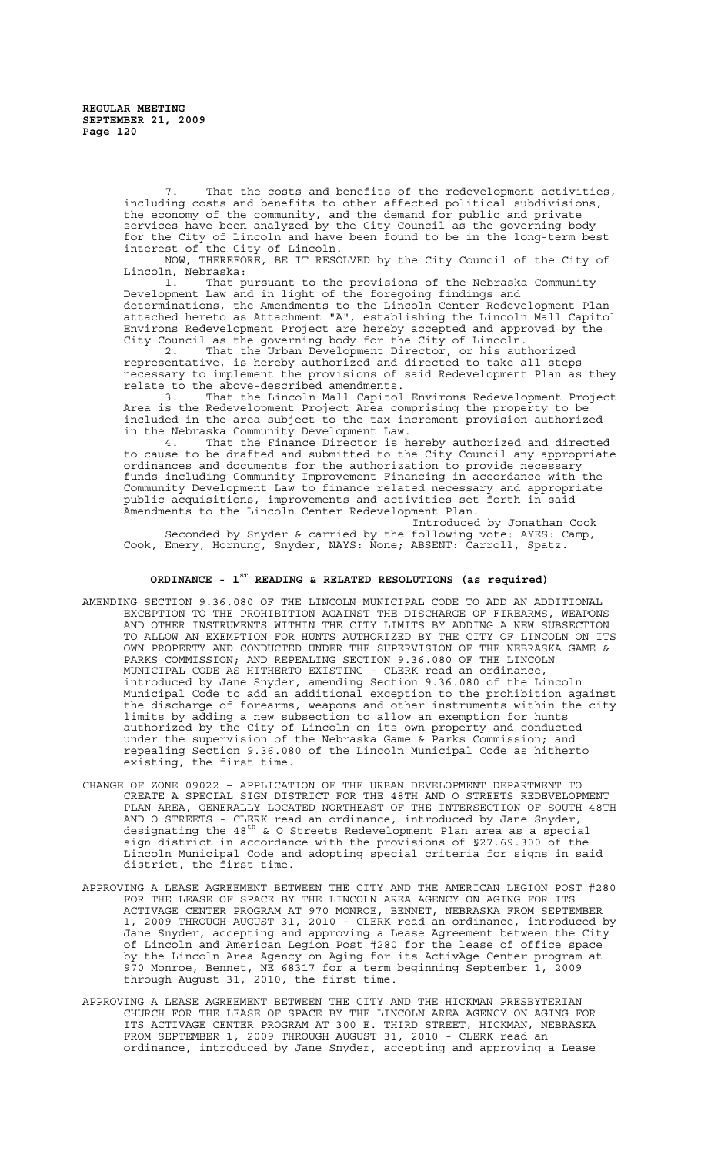That the costs and benefits of the redevelopment activities, including costs and benefits to other affected political subdivisions, the economy of the community, and the demand for public and private services have been analyzed by the City Council as the governing body for the City of Lincoln and have been found to be in the long-term best interest of the City of Lincoln.

NOW, THEREFORE, BE IT RESOLVED by the City Council of the City of Lincoln, Nebraska:

1. That pursuant to the provisions of the Nebraska Community Development Law and in light of the foregoing findings and determinations, the Amendments to the Lincoln Center Redevelopment Plan attached hereto as Attachment "A", establishing the Lincoln Mall Capitol Environs Redevelopment Project are hereby accepted and approved by the City Council as the governing body for the City of Lincoln.

2. That the Urban Development Director, or his authorized representative, is hereby authorized and directed to take all steps necessary to implement the provisions of said Redevelopment Plan as they relate to the above-described amendments.<br>3. That the Lincoln Mall Capitol

That the Lincoln Mall Capitol Environs Redevelopment Project Area is the Redevelopment Project Area comprising the property to be included in the area subject to the tax increment provision authorized

in the Nebraska Community Development Law.<br>4. That the Finance Director is h That the Finance Director is hereby authorized and directed to cause to be drafted and submitted to the City Council any appropriate ordinances and documents for the authorization to provide necessary funds including Community Improvement Financing in accordance with the Community Development Law to finance related necessary and appropriate public acquisitions, improvements and activities set forth in said Amendments to the Lincoln Center Redevelopment Plan.

Introduced by Jonathan Cook Seconded by Snyder & carried by the following vote: AYES: Camp, Cook, Emery, Hornung, Snyder, NAYS: None; ABSENT: Carroll, Spatz.

# **ORDINANCE - 1ST READING & RELATED RESOLUTIONS (as required)**

- AMENDING SECTION 9.36.080 OF THE LINCOLN MUNICIPAL CODE TO ADD AN ADDITIONAL EXCEPTION TO THE PROHIBITION AGAINST THE DISCHARGE OF FIREARMS, WEAPONS AND OTHER INSTRUMENTS WITHIN THE CITY LIMITS BY ADDING A NEW SUBSECTION TO ALLOW AN EXEMPTION FOR HUNTS AUTHORIZED BY THE CITY OF LINCOLN ON ITS OWN PROPERTY AND CONDUCTED UNDER THE SUPERVISION OF THE NEBRASKA GAME & PARKS COMMISSION; AND REPEALING SECTION 9.36.080 OF THE LINCOLN MUNICIPAL CODE AS HITHERTO EXISTING - CLERK read an ordinance, introduced by Jane Snyder, amending Section 9.36.080 of the Lincoln Municipal Code to add an additional exception to the prohibition against the discharge of forearms, weapons and other instruments within the city limits by adding a new subsection to allow an exemption for hunts authorized by the City of Lincoln on its own property and conducted under the supervision of the Nebraska Game & Parks Commission; and repealing Section 9.36.080 of the Lincoln Municipal Code as hitherto existing, the first time.
- CHANGE OF ZONE 09022 APPLICATION OF THE URBAN DEVELOPMENT DEPARTMENT TO CREATE A SPECIAL SIGN DISTRICT FOR THE 48TH AND O STREETS REDEVELOPMENT PLAN AREA, GENERALLY LOCATED NORTHEAST OF THE INTERSECTION OF SOUTH 48TH AND O STREETS - CLERK read an ordinance, introduced by Jane Snyder, designating the 48<sup>th</sup> & O Streets Redevelopment Plan area as a special sign district in accordance with the provisions of §27.69.300 of the Lincoln Municipal Code and adopting special criteria for signs in said district, the first time.
- APPROVING A LEASE AGREEMENT BETWEEN THE CITY AND THE AMERICAN LEGION POST #280 FOR THE LEASE OF SPACE BY THE LINCOLN AREA AGENCY ON AGING FOR ITS ACTIVAGE CENTER PROGRAM AT 970 MONROE, BENNET, NEBRASKA FROM SEPTEMBER 1, 2009 THROUGH AUGUST 31, 2010 - CLERK read an ordinance, introduced by Jane Snyder, accepting and approving a Lease Agreement between the City of Lincoln and American Legion Post #280 for the lease of office space by the Lincoln Area Agency on Aging for its ActivAge Center program at 970 Monroe, Bennet, NE 68317 for a term beginning September 1, 2009 through August 31, 2010, the first time.
- APPROVING A LEASE AGREEMENT BETWEEN THE CITY AND THE HICKMAN PRESBYTERIAN CHURCH FOR THE LEASE OF SPACE BY THE LINCOLN AREA AGENCY ON AGING FOR ITS ACTIVAGE CENTER PROGRAM AT 300 E. THIRD STREET, HICKMAN, NEBRASKA FROM SEPTEMBER 1, 2009 THROUGH AUGUST 31, 2010 - CLERK read an ordinance, introduced by Jane Snyder, accepting and approving a Lease